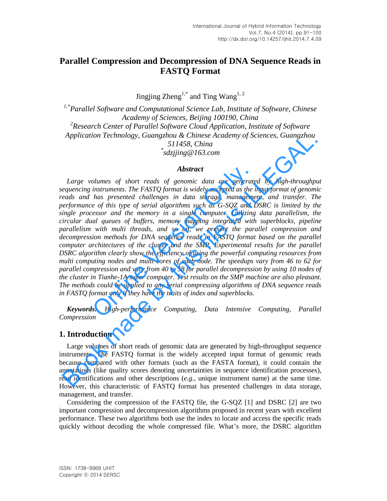# **Parallel Compression and Decompression of DNA Sequence Reads in FASTQ Format**

Jingjing  $\mathrm{Zheng}^{1,*}$  and Ting Wang<sup>1, 2</sup>

*1,\*Parallel Software and Computational Science Lab, Institute of Software, Chinese Academy of Sciences, Beijing 100190, China*  <sup>2</sup> Research Center of Parallel Software Cloud Application, Institute of Software *Application Technology, Guangzhou & Chinese Academy of Sciences, Guangzhou 511458, China \* sdzjjing@163.com* 

## *Abstract*

Large volumes of short reads of genomic data are generated by high-throughput *sequencing instruments. The FASTQ format is widely accepted as the input format of genomic reads and has presented challenges in data storage, management, and transfer. The performance of this type of serial algorithms such as G-SQZ and DSRC is limited by the single processor and the memory in a single computer. Utilizing data parallelism, the circular dual queues of buffers, memory mapping integrated with superblocks, pipeline parallelism with multi threads, and so on, we present the parallel compression and decompression methods for DNA sequence reads in FASTQ format based on the parallel computer architectures of the cluster and the SMP. Experimental results for the parallel DSRC algorithm clearly show the efficiency of using the powerful computing resources from multi computing nodes and multi cores of each node. The speedups vary from 46 to 62 for parallel compression and vary from 40 to 58 for parallel decompression by using 10 nodes of the cluster in Tianhe-1A super computer. Test results on the SMP machine are also pleasant. The methods could be applied to any serial compressing algorithms of DNA sequence reads in FASTQ format only if they have the traits of index and superblocks.* Abstract<br>Abstract<br>alumes of short reads of genomic data are generate<br>instruments. The FASTQ format is widely accepted as the i<br>has presented challenges in data storage, manageme<br>e of this type of serial algorithms such as Application Lechnology, Guangzhou  $\frac{2}{3}$ . This  $\frac{2}{3}$ . This  $\frac{2}{3}$ . This  $\frac{2}{3}$ . This  $\frac{2}{3}$ . This  $\frac{2}{3}$ . Abstract  $\frac{4}{3}$ .  $\frac{2}{3}$ .  $\frac{2}{3}$ .  $\frac{2}{3}$ .  $\frac{2}{3}$ .  $\frac{2}{3}$ .  $\frac{2}{3}$ .  $\frac{2}{3}$ .

*Keywords: High-performance Computing, Data Intensive Computing, Parallel Compression* 

# **1. Introduction**

Large volumes of short reads of genomic data are generated by high-throughput sequence instruments. The FASTQ format is the widely accepted input format of genomic reads because compared with other formats (such as the FASTA format), it could contain the annotations (like quality scores denoting uncertainties in sequence identification processes), read identifications and other descriptions (*e.g.*, unique instrument name) at the same time. However, this characteristic of FASTQ format has presented challenges in data storage, management, and transfer.

Considering the compression of the FASTQ file, the G-SQZ [1] and DSRC [2] are two important compression and decompression algorithms proposed in recent years with excellent performance. These two algorithms both use the index to locate and access the specific reads quickly without decoding the whole compressed file. What's more, the DSRC algorithm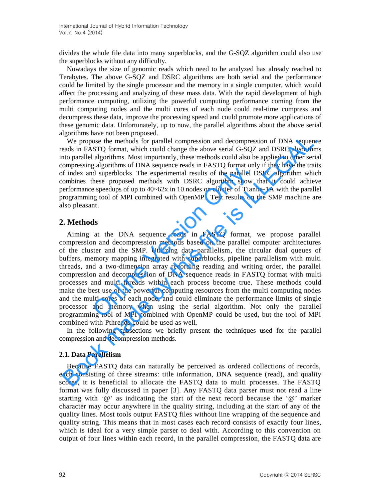divides the whole file data into many superblocks, and the G-SQZ algorithm could also use the superblocks without any difficulty.

Nowadays the size of genomic reads which need to be analyzed has already reached to Terabytes. The above G-SQZ and DSRC algorithms are both serial and the performance could be limited by the single processor and the memory in a single computer, which would affect the processing and analyzing of these mass data. With the rapid development of high performance computing, utilizing the powerful computing performance coming from the multi computing nodes and the multi cores of each node could real-time compress and decompress these data, improve the processing speed and could promote more applications of these genomic data. Unfortunately, up to now, the parallel algorithms about the above serial algorithms have not been proposed.

We propose the methods for parallel compression and decompression of DNA sequence reads in FASTQ format, which could change the above serial G-SQZ and DSRC algorithms into parallel algorithms. Most importantly, these methods could also be applied to other serial compressing algorithms of DNA sequence reads in FASTQ format only if they have the traits of index and superblocks. The experimental results of the parallel DSRC algorithm which combines these proposed methods with DSRC algorithm show that it could achieve performance speedups of up to 40~62x in 10 nodes on cluster of Tianhe-1A with the parallel programming tool of MPI combined with OpenMP. Test results on the SMP machine are also pleasant.

# **2. Methods**

Aiming at the DNA sequence reads in FASTQ format, we propose parallel compression and decompression methods based on the parallel computer architectures of the cluster and the SMP. Utilizing data parallelism, the circular dual queues of buffers, memory mapping integrated with superblocks, pipeline parallelism with multi threads, and a two-dimension array recording reading and writing order, the parallel compression and decompression of DNA sequence reads in FASTQ format with multi processes and multi threads within each process become true. These methods could make the best use of the powerful computing resources from the multi computing nodes and the multi cores of each node, and could eliminate the performance limits of single processor and memory when using the serial algorithm. Not only the parallel programming tool of MPI combined with OpenMP could be used, but the tool of MPI combined with Pthreads could be used as well. any-mans or Dividential results of the parallel I<br>these proposed methods with DSRC algorithm show<br>e speedups of up to 40~62x in 10 nodes on cluster of Tian<br>ing tool of MPI combined with OpenMP. Test results on<br>nt.<br>at the D We propose the methods for prosection and decompression and decompression of DNA sequenceds in FASTQ format which could change the above serial G-SQZ and DSRC algorithms. Most importantly, these methods so be applied to ot

In the following subsections we briefly present the techniques used for the parallel compression and decompression methods.

## **2.1. Data Parallelism**

Because FASTQ data can naturally be perceived as ordered collections of records, each consisting of three streams: title information, DNA sequence (read), and quality scores, it is beneficial to allocate the FASTQ data to multi processes. The FASTQ format was fully discussed in paper [3]. Any FASTQ data parser must not read a line starting with ' $@$ ' as indicating the start of the next record because the ' $@$ ' marker character may occur anywhere in the quality string, including at the start of any of the quality lines. Most tools output FASTQ files without line wrapping of the sequence and quality string. This means that in most cases each record consists of exactly four lines, which is ideal for a very simple parser to deal with. According to this convention on output of four lines within each record, in the parallel compression, the FASTQ data are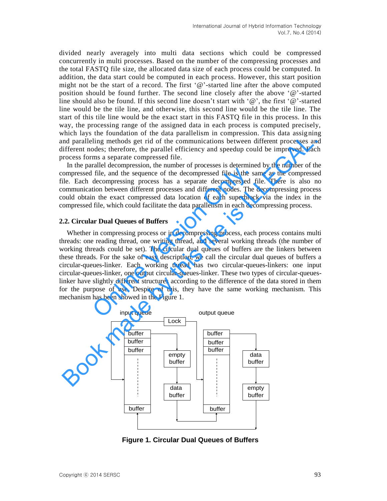divided nearly averagely into multi data sections which could be compressed concurrently in multi processes. Based on the number of the compressing processes and the total FASTQ file size, the allocated data size of each process could be computed. In addition, the data start could be computed in each process. However, this start position might not be the start of a record. The first  $\mathcal{P}$  -started line after the above computed position should be found further. The second line closely after the above '@'-started line should also be found. If this second line doesn't start with '@', the first '@'-started line would be the tile line, and otherwise, this second line would be the tile line. The start of this tile line would be the exact start in this FASTQ file in this process. In this way, the processing range of the assigned data in each process is computed precisely, which lays the foundation of the data parallelism in compression. This data assigning and paralleling methods get rid of the communications between different processes and different nodes; therefore, the parallel efficiency and speedup could be improved. Each process forms a separate compressed file.

In the parallel decompression, the number of processes is determined by the number of the compressed file, and the sequence of the decompressed file is the same as the compressed file. Each decompressing process has a separate decompressed file. There is also no communication between different processes and different nodes. The decompressing process could obtain the exact compressed data location of each superblock via the index in the compressed file, which could facilitate the data parallelism in each decompressing process.

### **2.2. Circular Dual Queues of Buffers**

Whether in compressing process or in decompressing process, each process contains multi threads: one reading thread, one writing thread, and several working threads (the number of working threads could be set). The circular dual queues of buffers are the linkers between these threads. For the sake of easy description, we call the circular dual queues of buffers a circular-queues-linker. Each working thread has two circular-queues-linkers: one input circular-queues-linker, one output circular-queues-linker. These two types of circular-queueslinker have slightly different structures according to the difference of the data stored in them for the purpose of use. Despite of this, they have the same working mechanism. This mechanism has been showed in the Figure 1. File, and the sequence of the decompressed file is the sate-<br>file, and the sequence of the decompressed file is the sate<br>decompressing process has a separate decompressed fit<br>ion between different processes and different n From the constrained the real particular queues and the real particular and a superior of the communications between different processes an<br>information of the communications between different processes and<br>proposes file. I



**Figure 1. Circular Dual Queues of Buffers**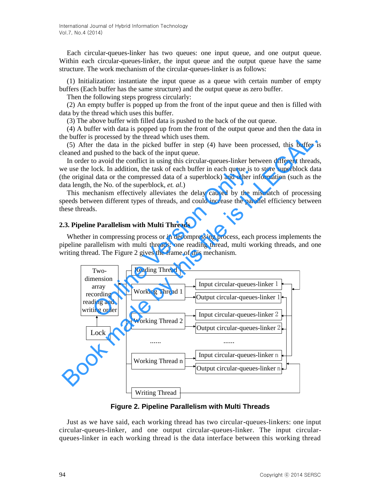Each circular-queues-linker has two queues: one input queue, and one output queue. Within each circular-queues-linker, the input queue and the output queue have the same structure. The work mechanism of the circular-queues-linker is as follows:

(1) Initialization: instantiate the input queue as a queue with certain number of empty buffers (Each buffer has the same structure) and the output queue as zero buffer.

Then the following steps progress circularly:

(2) An empty buffer is popped up from the front of the input queue and then is filled with data by the thread which uses this buffer.

(3) The above buffer with filled data is pushed to the back of the out queue.

(4) A buffer with data is popped up from the front of the output queue and then the data in the buffer is processed by the thread which uses them.

(5) After the data in the picked buffer in step (4) have been processed, this buffer is cleaned and pushed to the back of the input queue.

In order to avoid the conflict in using this circular-queues-linker between different threads, we use the lock. In addition, the task of each buffer in each queue is to store superblock data (the original data or the compressed data of a superblock) and other information (such as the data length, the No. of the superblock, *et. al.*)

This mechanism effectively alleviates the delay caused by the mismatch of processing speeds between different types of threads, and could increase the parallel efficiency between these threads.

### **2.3. Pipeline Parallelism with Multi Threads**

Whether in compressing process or in decompressing process, each process implements the pipeline parallelism with multi threads: one reading thread, multi working threads, and one writing thread. The Figure 2 gives the frame of this mechanism.



**Figure 2. Pipeline Parallelism with Multi Threads** 

Just as we have said, each working thread has two circular-queues-linkers: one input circular-queues-linker, and one output circular-queues-linker. The input circularqueues-linker in each working thread is the data interface between this working thread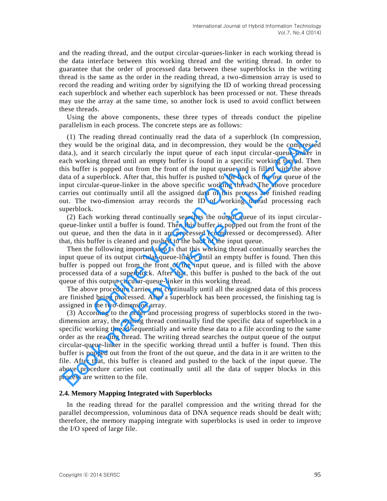and the reading thread, and the output circular-queues-linker in each working thread is the data interface between this working thread and the writing thread. In order to guarantee that the order of processed data between these superblocks in the writing thread is the same as the order in the reading thread, a two-dimension array is used to record the reading and writing order by signifying the ID of working thread processing each superblock and whether each superblock has been processed or not. These threads may use the array at the same time, so another lock is used to avoid conflict between these threads.

Using the above components, these three types of threads conduct the pipeline parallelism in each process. The concrete steps are as follows:

(1) The reading thread continually read the data of a superblock (In compression, they would be the original data, and in decompression, they would be the compressed data.), and it search circularly the input queue of each input circular-queue-linker in each working thread until an empty buffer is found in a specific working thread. Then this buffer is popped out from the front of the input queue and is filled with the above data of a superblock. After that, this buffer is pushed to the back of the out queue of the input circular-queue-linker in the above specific working thread. The above procedure carries out continually until all the assigned data of this process are finished reading out. The two-dimension array records the ID of working thread processing each superblock. is popped out from the front of the input queue and is<br>perblock. After that, this buffer is pushed to the back o<br>lar-queue-linker in the above specific working thread.<br>continually until all the assigned data of this proces (1) The reading thread continually read the data of a superblock (In compression, they would be the original data, and in decompression, they would be the compresse lata.), and it search circularly the input queue of each

(2) Each working thread continually searches the output queue of its input circularqueue-linker until a buffer is found. Then this buffer is popped out from the front of the out queue, and then the data in it are processed (compressed or decompressed). After that, this buffer is cleaned and pushed to the back of the input queue.

Then the following important step is that this working thread continually searches the input queue of its output circular-queue-linker until an empty buffer is found. Then this buffer is popped out from the front of the input queue, and is filled with the above processed data of a superblock. After that, this buffer is pushed to the back of the out queue of this output circular-queue-linker in this working thread.

The above procedure carries out continually until all the assigned data of this process are finished being processed. After a superblock has been processed, the finishing tag is assigned in the two-dimension array.

(3) According to the order and processing progress of superblocks stored in the twodimension array, the writing thread continually find the specific data of superblock in a specific working thread sequentially and write these data to a file according to the same order as the reading thread. The writing thread searches the output queue of the output circular-queue-linker in the specific working thread until a buffer is found. Then this buffer is popped out from the front of the out queue, and the data in it are written to the file. After that, this buffer is cleaned and pushed to the back of the input queue. The above procedure carries out continually until all the data of supper blocks in this process are written to the file.

### **2.4. Memory Mapping Integrated with Superblocks**

In the reading thread for the parallel compression and the writing thread for the parallel decompression, voluminous data of DNA sequence reads should be dealt with; therefore, the memory mapping integrate with superblocks is used in order to improve the I/O speed of large file.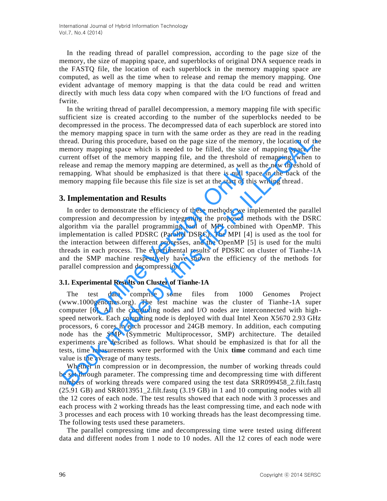In the reading thread of parallel compression, according to the page size of the memory, the size of mapping space, and superblocks of original DNA sequence reads in the FASTQ file, the location of each superblock in the memory mapping space are computed, as well as the time when to release and remap the memory mapping. One evident advantage of memory mapping is that the data could be read and written directly with much less data copy when compared with the I/O functions of fread and fwrite.

In the writing thread of parallel decompression, a memory mapping file with specific sufficient size is created according to the number of the superblocks needed to be decompressed in the process. The decompressed data of each superblock are stored into the memory mapping space in turn with the same order as they are read in the reading thread. During this procedure, based on the page size of the memory, the location of the memory mapping space which is needed to be filled, the size of mapping space, the current offset of the memory mapping file, and the threshold of remapping, when to release and remap the memory mapping are determined, as well as the new threshold of remapping. What should be emphasized is that there is null space in the back of the memory mapping file because this file size is set at the start of this writing thread .

# **3. Implementation and Results**

In order to demonstrate the efficiency of these methods, we implemented the parallel compression and decompression by integrating the proposed methods with the DSRC algorithm via the parallel programming tool of MPI combined with OpenMP. This implementation is called PDSRC (Parallel DSRC). The MPI [4] is used as the tool for the interaction between different processes, and the OpenMP [5] is used for the multi threads in each process. The experimental results of PDSRC on cluster of Tianhe-1A and the SMP machine respectively have shown the efficiency of the methods for parallel compression and decompression. From the method of emphasized is that there is null spanning the because this file size is set at the start of this **apping** file because this file size is set at the start of this **apping** file because this file size is

#### **3.1. Experimental Results on Cluster of Tianhe-1A**

The test data comprise some files from 1000 Genomes Project (www.1000genomes.org). The test machine was the cluster of Tianhe-1A super computer [6]. All the computing nodes and I/O nodes are interconnected with highspeed network. Each computing node is deployed with dual Intel Xeon X5670 2.93 GHz processors, 6 cores in each processor and 24GB memory. In addition, each computing node has the SMP (Symmetric Multiprocessor, SMP) architecture. The detailed experiments are described as follows. What should be emphasized is that for all the tests, time measurements were performed with the Unix **time** command and each time value is the average of many tests. in methanony imagping space in turn with the same other as they are call out perminental and the same of the filed, the size of mapping space, the memory mapping space which is needed to be filed, the size of mapping pace,

Whether in compression or in decompression, the number of working threads could be set through parameter. The compressing time and decompressing time with different numbers of working threads were compared using the test data SRR099458\_2.filt.fastq  $(25.91 \text{ GB})$  and SRR013951 2.filt.fastq  $(3.19 \text{ GB})$  in 1 and 10 computing nodes with all the 12 cores of each node. The test results showed that each node with 3 processes and each process with 2 working threads has the least compressing time, and each node with 3 processes and each process with 10 working threads has the least decompressing time. The following tests used these parameters.

The parallel compressing time and decompressing time were tested using different data and different nodes from 1 node to 10 nodes. All the 12 cores of each node were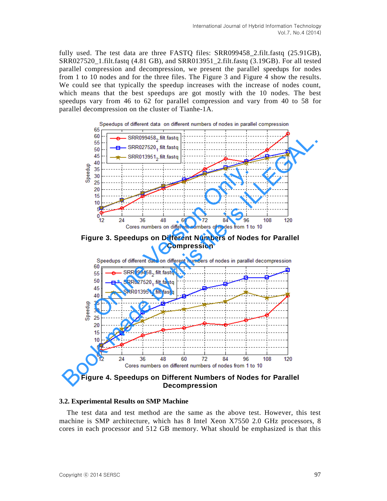fully used. The test data are three FASTO files: SRR099458 2.filt.fastq (25.91GB), SRR027520\_1.filt.fastq (4.81 GB), and SRR013951\_2.filt.fastq (3.19GB). For all tested parallel compression and decompression, we present the parallel speedups for nodes from 1 to 10 nodes and for the three files. The Figure 3 and Figure 4 show the results. We could see that typically the speedup increases with the increase of nodes count, which means that the best speedups are got mostly with the 10 nodes. The best speedups vary from 46 to 62 for parallel compression and vary from 40 to 58 for parallel decompression on the cluster of Tianhe-1A.



**Figure 3. Speedups on Different Numbers of Nodes for Parallel Compression** 



**Figure 4. Speedups on Different Numbers of Nodes for Parallel Decompression** 

## **3.2. Experimental Results on SMP Machine**

The test data and test method are the same as the above test. However, this test machine is SMP architecture, which has 8 Intel Xeon X7550 2.0 GHz processors, 8 cores in each processor and 512 GB memory. What should be emphasized is that this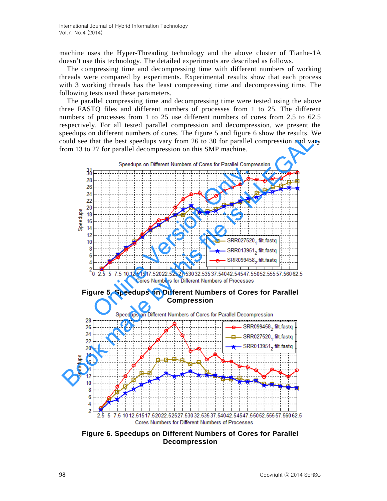machine uses the Hyper-Threading technology and the above cluster of Tianhe-1A doesn't use this technology. The detailed experiments are described as follows.

The compressing time and decompressing time with different numbers of working threads were compared by experiments. Experimental results show that each process with 3 working threads has the least compressing time and decompressing time. The following tests used these parameters.

The parallel compressing time and decompressing time were tested using the above three FASTQ files and different numbers of processes from 1 to 25. The different numbers of processes from 1 to 25 use different numbers of cores from 2.5 to 62.5 respectively. For all tested parallel compression and decompression, we present the speedups on different numbers of cores. The figure 5 and figure 6 show the results. We could see that the best speedups vary from 26 to 30 for parallel compression and vary from 13 to 27 for parallel decompression on this SMP machine.



**Figure 5. Speedups on Different Numbers of Cores for Parallel Compression** 



**Figure 6. Speedups on Different Numbers of Cores for Parallel Decompression**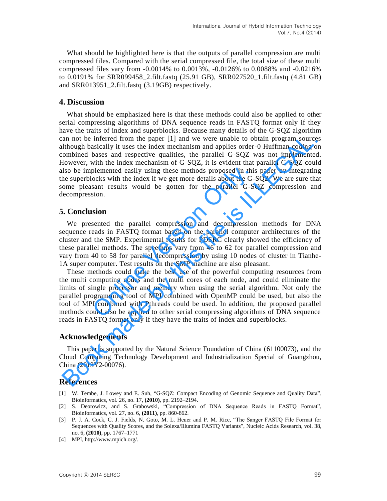What should be highlighted here is that the outputs of parallel compression are multi compressed files. Compared with the serial compressed file, the total size of these multi compressed files vary from -0.0014% to 0.0013%, -0.0126% to 0.0088% and -0.0216% to 0.0191% for SRR099458\_2.filt.fastq (25.91 GB), SRR027520\_1.filt.fastq (4.81 GB) and SRR013951\_2.filt.fastq (3.19GB) respectively.

# **4. Discussion**

What should be emphasized here is that these methods could also be applied to other serial compressing algorithms of DNA sequence reads in FASTQ format only if they have the traits of index and superblocks. Because many details of the G-SQZ algorithm can not be inferred from the paper [1] and we were unable to obtain program sources although basically it uses the index mechanism and applies order-0 Huffman coding on combined bases and respective qualities, the parallel G-SQZ was not implemented. However, with the index mechanism of G-SQZ, it is evident that parallel G-SQZ could also be implemented easily using these methods proposed in this paper by integrating the superblocks with the index if we get more details about the G-SQZ. We are sure that some pleasant results would be gotten for the parallel G-SQZ compression and decompression. an not be inferred from the paper [1] and we were unable to obtain program source<br>through basically it uses the index mechanism and applies order-0 Huffman coding o<br>ombined bases and respective qualities, the parallel G-SQ

### **5. Conclusion**

We presented the parallel compression and decompression methods for DNA sequence reads in FASTQ format based on the parallel computer architectures of the cluster and the SMP. Experimental results for PDSRC clearly showed the efficiency of these parallel methods. The speedups vary from 46 to 62 for parallel compression and vary from 40 to 58 for parallel decompression by using 10 nodes of cluster in Tianhe-1A super computer. Test results on the SMP machine are also pleasant.

These methods could make the best use of the powerful computing resources from the multi computing nodes and the multi cores of each node, and could eliminate the limits of single processor and memory when using the serial algorithm. Not only the parallel programming tool of MPI combined with OpenMP could be used, but also the tool of MPI combined with Pthreads could be used. In addition, the proposed parallel methods could also be applied to other serial compressing algorithms of DNA sequence reads in FASTQ format only if they have the traits of index and superblocks. plemented easily using these methods proposed in this<br>ocks with the index if we get more details about the G-5<br>sant results would be gotten for the parallel G-SC<br>sion.<br>Sion<br>sented the parallel compression and decompression

#### **Acknowledgements**

This paper is supported by the Natural Science Foundation of China (61100073), and the Cloud Computing Technology Development and Industrialization Special of Guangzhou, China (2013Y2-00076).

#### **References**

- [1] W. Tembe, J. Lowey and E. Suh, "G-SQZ: Compact Encoding of Genomic Sequence and Quality Data", Bioinformatics, vol. 26, no. 17, **(2010)**, pp. 2192–2194.
- [2] S. Deorowicz, and S. Grabowski, "Compression of DNA Sequence Reads in FASTQ Format", Bioinformatics, vol. 27, no. 6, **(2011)**, pp. 860-862.
- [3] P. J. A. Cock, C. J. Fields, N. Goto, M. L. Heuer and P. M. Rice, "The Sanger FASTQ File Format for Sequences with Quality Scores, and the Solexa/Illumina FASTQ Variants", Nucleic Acids Research, vol. 38, no. 6, **(2010)**, pp. 1767–1771
- [4] MPI[, http://www.mpich.org/.](http://www.mpich.org/)